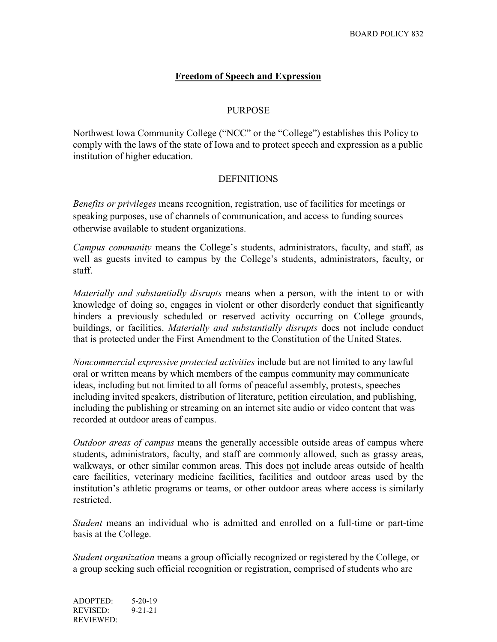# **Freedom of Speech and Expression**

#### PURPOSE

Northwest Iowa Community College ("NCC" or the "College") establishes this Policy to comply with the laws of the state of Iowa and to protect speech and expression as a public institution of higher education.

### **DEFINITIONS**

*Benefits or privileges* means recognition, registration, use of facilities for meetings or speaking purposes, use of channels of communication, and access to funding sources otherwise available to student organizations.

*Campus community* means the College's students, administrators, faculty, and staff, as well as guests invited to campus by the College's students, administrators, faculty, or staff.

*Materially and substantially disrupts* means when a person, with the intent to or with knowledge of doing so, engages in violent or other disorderly conduct that significantly hinders a previously scheduled or reserved activity occurring on College grounds, buildings, or facilities. *Materially and substantially disrupts* does not include conduct that is protected under the First Amendment to the Constitution of the United States.

*Noncommercial expressive protected activities* include but are not limited to any lawful oral or written means by which members of the campus community may communicate ideas, including but not limited to all forms of peaceful assembly, protests, speeches including invited speakers, distribution of literature, petition circulation, and publishing, including the publishing or streaming on an internet site audio or video content that was recorded at outdoor areas of campus.

*Outdoor areas of campus* means the generally accessible outside areas of campus where students, administrators, faculty, and staff are commonly allowed, such as grassy areas, walkways, or other similar common areas. This does not include areas outside of health care facilities, veterinary medicine facilities, facilities and outdoor areas used by the institution's athletic programs or teams, or other outdoor areas where access is similarly restricted.

*Student* means an individual who is admitted and enrolled on a full-time or part-time basis at the College.

*Student organization* means a group officially recognized or registered by the College, or a group seeking such official recognition or registration, comprised of students who are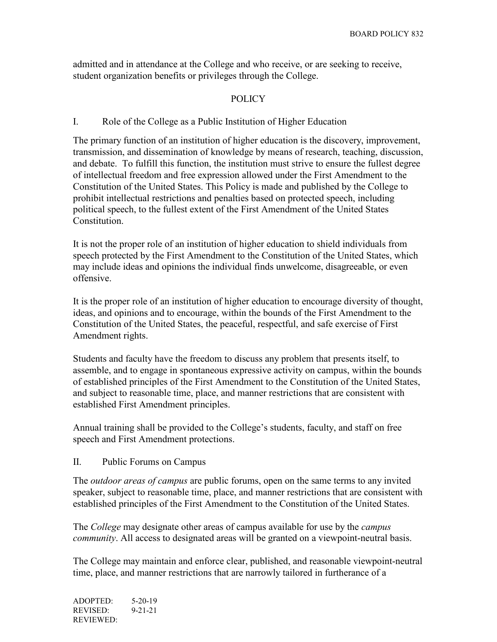admitted and in attendance at the College and who receive, or are seeking to receive, student organization benefits or privileges through the College.

## POLICY

### I. Role of the College as a Public Institution of Higher Education

The primary function of an institution of higher education is the discovery, improvement, transmission, and dissemination of knowledge by means of research, teaching, discussion, and debate. To fulfill this function, the institution must strive to ensure the fullest degree of intellectual freedom and free expression allowed under the First Amendment to the Constitution of the United States. This Policy is made and published by the College to prohibit intellectual restrictions and penalties based on protected speech, including political speech, to the fullest extent of the First Amendment of the United States Constitution.

It is not the proper role of an institution of higher education to shield individuals from speech protected by the First Amendment to the Constitution of the United States, which may include ideas and opinions the individual finds unwelcome, disagreeable, or even offensive.

It is the proper role of an institution of higher education to encourage diversity of thought, ideas, and opinions and to encourage, within the bounds of the First Amendment to the Constitution of the United States, the peaceful, respectful, and safe exercise of First Amendment rights.

Students and faculty have the freedom to discuss any problem that presents itself, to assemble, and to engage in spontaneous expressive activity on campus, within the bounds of established principles of the First Amendment to the Constitution of the United States, and subject to reasonable time, place, and manner restrictions that are consistent with established First Amendment principles.

Annual training shall be provided to the College's students, faculty, and staff on free speech and First Amendment protections.

II. Public Forums on Campus

The *outdoor areas of campus* are public forums, open on the same terms to any invited speaker, subject to reasonable time, place, and manner restrictions that are consistent with established principles of the First Amendment to the Constitution of the United States.

The *College* may designate other areas of campus available for use by the *campus community*. All access to designated areas will be granted on a viewpoint-neutral basis.

The College may maintain and enforce clear, published, and reasonable viewpoint-neutral time, place, and manner restrictions that are narrowly tailored in furtherance of a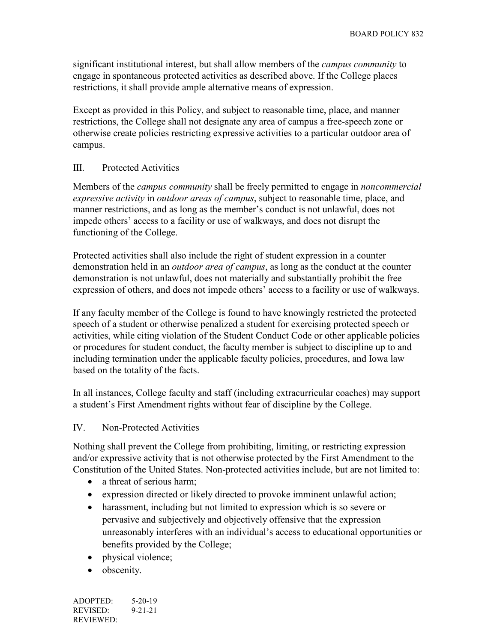significant institutional interest, but shall allow members of the *campus community* to engage in spontaneous protected activities as described above. If the College places restrictions, it shall provide ample alternative means of expression.

Except as provided in this Policy, and subject to reasonable time, place, and manner restrictions, the College shall not designate any area of campus a free-speech zone or otherwise create policies restricting expressive activities to a particular outdoor area of campus.

### III. Protected Activities

Members of the *campus community* shall be freely permitted to engage in *noncommercial expressive activity* in *outdoor areas of campus*, subject to reasonable time, place, and manner restrictions, and as long as the member's conduct is not unlawful, does not impede others' access to a facility or use of walkways, and does not disrupt the functioning of the College.

Protected activities shall also include the right of student expression in a counter demonstration held in an *outdoor area of campus*, as long as the conduct at the counter demonstration is not unlawful, does not materially and substantially prohibit the free expression of others, and does not impede others' access to a facility or use of walkways.

If any faculty member of the College is found to have knowingly restricted the protected speech of a student or otherwise penalized a student for exercising protected speech or activities, while citing violation of the Student Conduct Code or other applicable policies or procedures for student conduct, the faculty member is subject to discipline up to and including termination under the applicable faculty policies, procedures, and Iowa law based on the totality of the facts.

In all instances, College faculty and staff (including extracurricular coaches) may support a student's First Amendment rights without fear of discipline by the College.

### IV. Non-Protected Activities

Nothing shall prevent the College from prohibiting, limiting, or restricting expression and/or expressive activity that is not otherwise protected by the First Amendment to the Constitution of the United States. Non-protected activities include, but are not limited to:

- a threat of serious harm:
- expression directed or likely directed to provoke imminent unlawful action;
- harassment, including but not limited to expression which is so severe or pervasive and subjectively and objectively offensive that the expression unreasonably interferes with an individual's access to educational opportunities or benefits provided by the College;
- physical violence;
- obscenity.